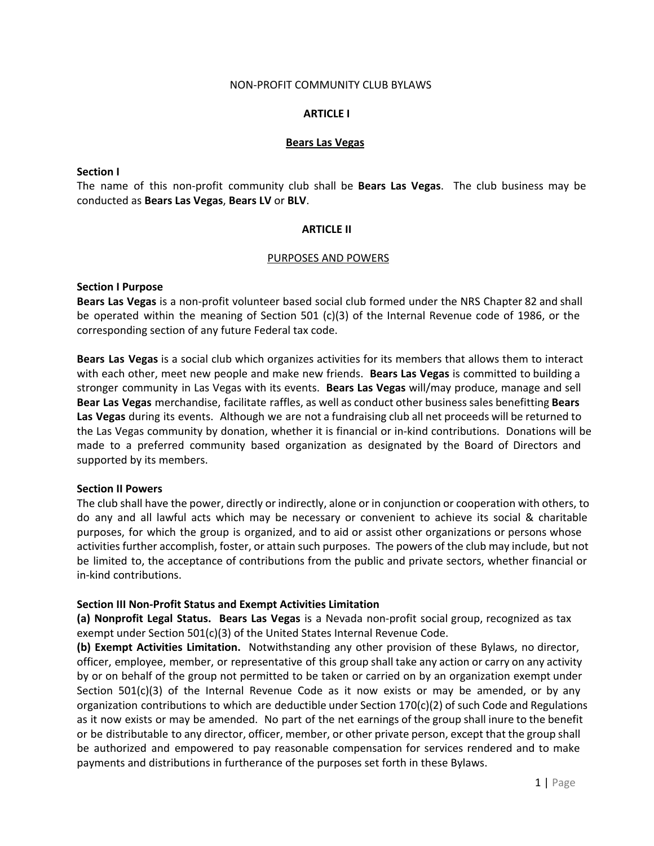#### NON-PROFIT COMMUNITY CLUB BYLAWS

#### **ARTICLE I**

#### **Bears Las Vegas**

### **Section I**

The name of this non-profit community club shall be **Bears Las Vegas**. The club business may be conducted as **Bears Las Vegas**, **Bears LV** or **BLV**.

#### **ARTICLE II**

#### PURPOSES AND POWERS

#### **Section I Purpose**

**Bears Las Vegas** is a non-profit volunteer based social club formed under the NRS Chapter 82 and shall be operated within the meaning of Section 501 (c)(3) of the Internal Revenue code of 1986, or the corresponding section of any future Federal tax code.

**Bears Las Vegas** is a social club which organizes activities for its members that allows them to interact with each other, meet new people and make new friends. **Bears Las Vegas** is committed to building a stronger community in Las Vegas with its events. **Bears Las Vegas** will/may produce, manage and sell **Bear Las Vegas** merchandise, facilitate raffles, as well as conduct other business sales benefitting **Bears Las Vegas** during its events. Although we are not a fundraising club all net proceeds will be returned to the Las Vegas community by donation, whether it is financial or in-kind contributions. Donations will be made to a preferred community based organization as designated by the Board of Directors and supported by its members.

#### **Section II Powers**

The club shall have the power, directly or indirectly, alone or in conjunction or cooperation with others, to do any and all lawful acts which may be necessary or convenient to achieve its social & charitable purposes, for which the group is organized, and to aid or assist other organizations or persons whose activities further accomplish, foster, or attain such purposes. The powers of the club may include, but not be limited to, the acceptance of contributions from the public and private sectors, whether financial or in-kind contributions.

#### **Section III Non-Profit Status and Exempt Activities Limitation**

**(a) Nonprofit Legal Status. Bears Las Vegas** is a Nevada non-profit social group, recognized as tax exempt under Section 501(c)(3) of the United States Internal Revenue Code.

**(b) Exempt Activities Limitation.** Notwithstanding any other provision of these Bylaws, no director, officer, employee, member, or representative of this group shall take any action or carry on any activity by or on behalf of the group not permitted to be taken or carried on by an organization exempt under Section  $501(c)(3)$  of the Internal Revenue Code as it now exists or may be amended, or by any organization contributions to which are deductible under Section 170(c)(2) of such Code and Regulations as it now exists or may be amended. No part of the net earnings of the group shall inure to the benefit or be distributable to any director, officer, member, or other private person, except that the group shall be authorized and empowered to pay reasonable compensation for services rendered and to make payments and distributions in furtherance of the purposes set forth in these Bylaws.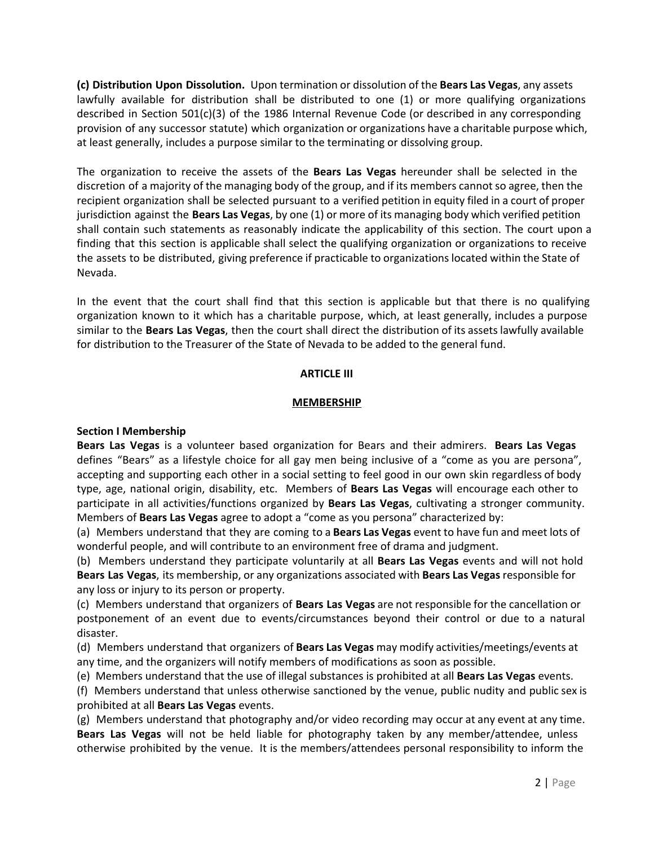**(c) Distribution Upon Dissolution.** Upon termination or dissolution of the **Bears Las Vegas**, any assets lawfully available for distribution shall be distributed to one (1) or more qualifying organizations described in Section 501(c)(3) of the 1986 Internal Revenue Code (or described in any corresponding provision of any successor statute) which organization or organizations have a charitable purpose which, at least generally, includes a purpose similar to the terminating or dissolving group.

The organization to receive the assets of the **Bears Las Vegas** hereunder shall be selected in the discretion of a majority of the managing body of the group, and if its members cannot so agree, then the recipient organization shall be selected pursuant to a verified petition in equity filed in a court of proper jurisdiction against the **Bears Las Vegas**, by one (1) or more of its managing body which verified petition shall contain such statements as reasonably indicate the applicability of this section. The court upon a finding that this section is applicable shall select the qualifying organization or organizations to receive the assets to be distributed, giving preference if practicable to organizations located within the State of Nevada.

In the event that the court shall find that this section is applicable but that there is no qualifying organization known to it which has a charitable purpose, which, at least generally, includes a purpose similar to the **Bears Las Vegas**, then the court shall direct the distribution of its assets lawfully available for distribution to the Treasurer of the State of Nevada to be added to the general fund.

## **ARTICLE III**

#### **MEMBERSHIP**

## **Section I Membership**

**Bears Las Vegas** is a volunteer based organization for Bears and their admirers. **Bears Las Vegas** defines "Bears" as a lifestyle choice for all gay men being inclusive of a "come as you are persona", accepting and supporting each other in a social setting to feel good in our own skin regardless of body type, age, national origin, disability, etc. Members of **Bears Las Vegas** will encourage each other to participate in all activities/functions organized by **Bears Las Vegas**, cultivating a stronger community. Members of **Bears Las Vegas** agree to adopt a "come as you persona" characterized by:

(a) Members understand that they are coming to a **Bears Las Vegas** event to have fun and meet lots of wonderful people, and will contribute to an environment free of drama and judgment.

(b) Members understand they participate voluntarily at all **Bears Las Vegas** events and will not hold **Bears Las Vegas**, its membership, or any organizations associated with **Bears Las Vegas** responsible for any loss or injury to its person or property.

(c) Members understand that organizers of **Bears Las Vegas** are not responsible for the cancellation or postponement of an event due to events/circumstances beyond their control or due to a natural disaster.

(d) Members understand that organizers of **Bears Las Vegas** may modify activities/meetings/events at any time, and the organizers will notify members of modifications as soon as possible.

(e) Members understand that the use of illegal substances is prohibited at all **Bears Las Vegas** events.

(f) Members understand that unless otherwise sanctioned by the venue, public nudity and public sex is prohibited at all **Bears Las Vegas** events.

(g) Members understand that photography and/or video recording may occur at any event at any time. **Bears Las Vegas** will not be held liable for photography taken by any member/attendee, unless otherwise prohibited by the venue. It is the members/attendees personal responsibility to inform the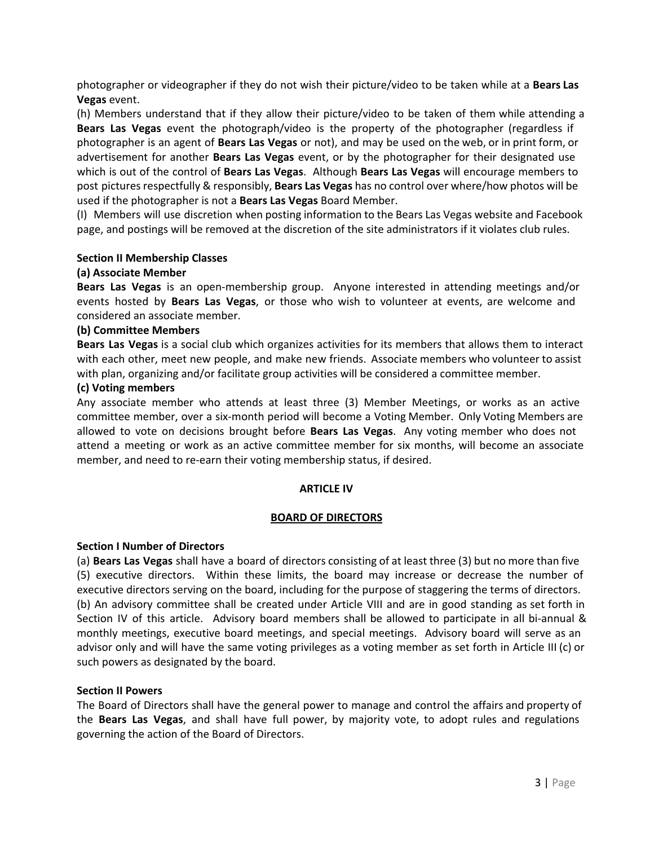photographer or videographer if they do not wish their picture/video to be taken while at a **Bears Las Vegas** event.

(h) Members understand that if they allow their picture/video to be taken of them while attending a **Bears Las Vegas** event the photograph/video is the property of the photographer (regardless if photographer is an agent of **Bears Las Vegas** or not), and may be used on the web, or in print form, or advertisement for another **Bears Las Vegas** event, or by the photographer for their designated use which is out of the control of **Bears Las Vegas**. Although **Bears Las Vegas** will encourage members to post pictures respectfully & responsibly, **Bears Las Vegas** has no control over where/how photos will be used if the photographer is not a **Bears Las Vegas** Board Member.

(I) Members will use discretion when posting information to the Bears Las Vegas website and Facebook page, and postings will be removed at the discretion of the site administrators if it violates club rules.

### **Section II Membership Classes**

### **(a) Associate Member**

**Bears Las Vegas** is an open-membership group. Anyone interested in attending meetings and/or events hosted by **Bears Las Vegas**, or those who wish to volunteer at events, are welcome and considered an associate member.

### **(b) Committee Members**

**Bears Las Vegas** is a social club which organizes activities for its members that allows them to interact with each other, meet new people, and make new friends. Associate members who volunteer to assist with plan, organizing and/or facilitate group activities will be considered a committee member.

### **(c) Voting members**

Any associate member who attends at least three (3) Member Meetings, or works as an active committee member, over a six-month period will become a Voting Member. Only Voting Members are allowed to vote on decisions brought before **Bears Las Vegas**. Any voting member who does not attend a meeting or work as an active committee member for six months, will become an associate member, and need to re-earn their voting membership status, if desired.

#### **ARTICLE IV**

#### **BOARD OF DIRECTORS**

#### **Section I Number of Directors**

(a) **Bears Las Vegas** shall have a board of directors consisting of at least three (3) but no more than five (5) executive directors. Within these limits, the board may increase or decrease the number of executive directors serving on the board, including for the purpose of staggering the terms of directors. (b) An advisory committee shall be created under Article VIII and are in good standing as set forth in Section IV of this article. Advisory board members shall be allowed to participate in all bi-annual & monthly meetings, executive board meetings, and special meetings. Advisory board will serve as an advisor only and will have the same voting privileges as a voting member as set forth in Article III (c) or such powers as designated by the board.

#### **Section II Powers**

The Board of Directors shall have the general power to manage and control the affairs and property of the **Bears Las Vegas**, and shall have full power, by majority vote, to adopt rules and regulations governing the action of the Board of Directors.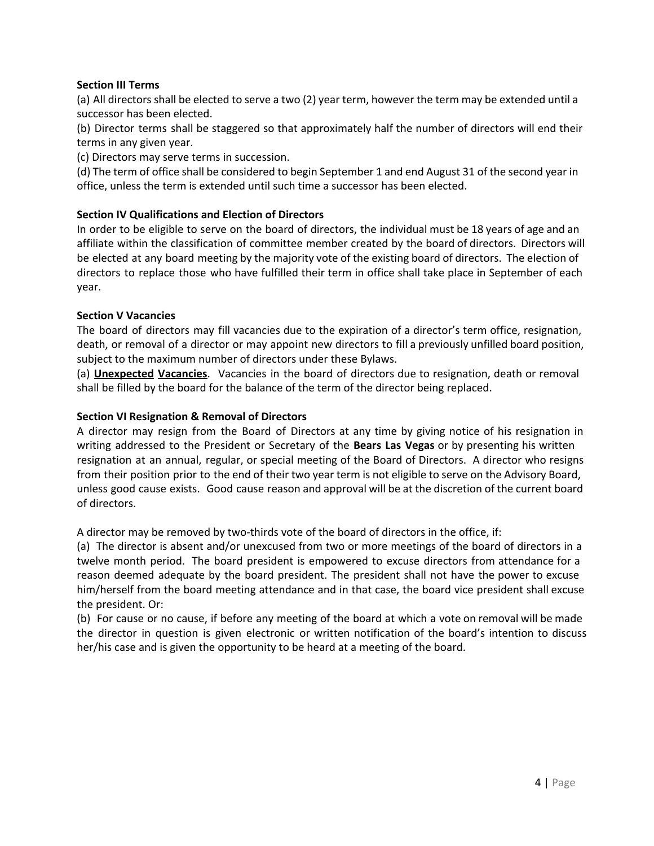## **Section III Terms**

(a) All directors shall be elected to serve a two (2) year term, however the term may be extended until a successor has been elected.

(b) Director terms shall be staggered so that approximately half the number of directors will end their terms in any given year.

(c) Directors may serve terms in succession.

(d) The term of office shall be considered to begin September 1 and end August 31 of the second year in office, unless the term is extended until such time a successor has been elected.

## **Section IV Qualifications and Election of Directors**

In order to be eligible to serve on the board of directors, the individual must be 18 years of age and an affiliate within the classification of committee member created by the board of directors. Directors will be elected at any board meeting by the majority vote of the existing board of directors. The election of directors to replace those who have fulfilled their term in office shall take place in September of each year.

## **Section V Vacancies**

The board of directors may fill vacancies due to the expiration of a director's term office, resignation, death, or removal of a director or may appoint new directors to fill a previously unfilled board position, subject to the maximum number of directors under these Bylaws.

(a) **Unexpected Vacancies**. Vacancies in the board of directors due to resignation, death or removal shall be filled by the board for the balance of the term of the director being replaced.

## **Section VI Resignation & Removal of Directors**

A director may resign from the Board of Directors at any time by giving notice of his resignation in writing addressed to the President or Secretary of the **Bears Las Vegas** or by presenting his written resignation at an annual, regular, or special meeting of the Board of Directors. A director who resigns from their position prior to the end of their two year term is not eligible to serve on the Advisory Board, unless good cause exists. Good cause reason and approval will be at the discretion of the current board of directors.

A director may be removed by two-thirds vote of the board of directors in the office, if:

(a) The director is absent and/or unexcused from two or more meetings of the board of directors in a twelve month period. The board president is empowered to excuse directors from attendance for a reason deemed adequate by the board president. The president shall not have the power to excuse him/herself from the board meeting attendance and in that case, the board vice president shall excuse the president. Or:

(b) For cause or no cause, if before any meeting of the board at which a vote on removal will be made the director in question is given electronic or written notification of the board's intention to discuss her/his case and is given the opportunity to be heard at a meeting of the board.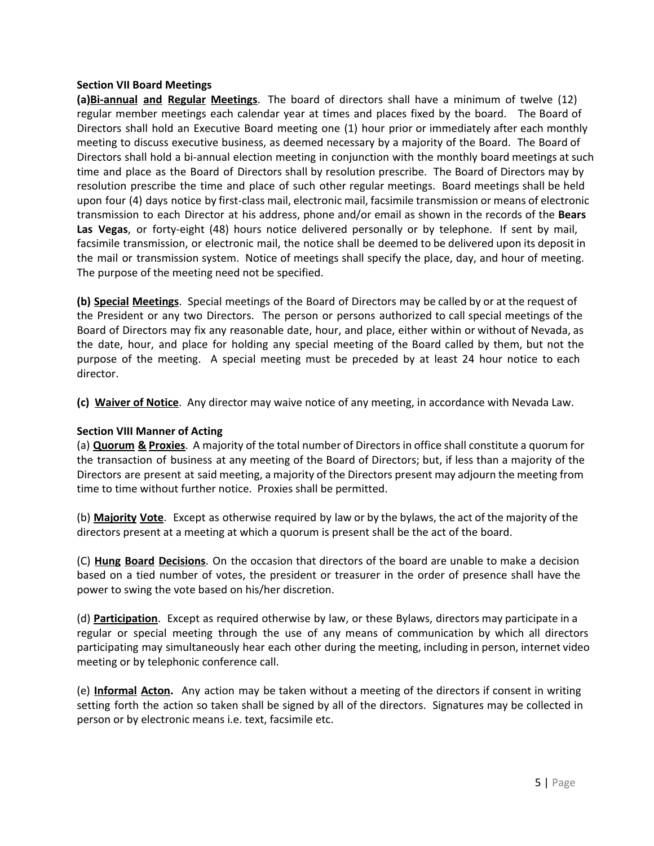## **Section VII Board Meetings**

**(a)Bi-annual and Regular Meetings**. The board of directors shall have a minimum of twelve (12) regular member meetings each calendar year at times and places fixed by the board. The Board of Directors shall hold an Executive Board meeting one (1) hour prior or immediately after each monthly meeting to discuss executive business, as deemed necessary by a majority of the Board. The Board of Directors shall hold a bi-annual election meeting in conjunction with the monthly board meetings at such time and place as the Board of Directors shall by resolution prescribe. The Board of Directors may by resolution prescribe the time and place of such other regular meetings. Board meetings shall be held upon four (4) days notice by first-class mail, electronic mail, facsimile transmission or means of electronic transmission to each Director at his address, phone and/or email as shown in the records of the **Bears Las Vegas**, or forty-eight (48) hours notice delivered personally or by telephone. If sent by mail, facsimile transmission, or electronic mail, the notice shall be deemed to be delivered upon its deposit in the mail or transmission system. Notice of meetings shall specify the place, day, and hour of meeting. The purpose of the meeting need not be specified.

**(b) Special Meetings**. Special meetings of the Board of Directors may be called by or at the request of the President or any two Directors. The person or persons authorized to call special meetings of the Board of Directors may fix any reasonable date, hour, and place, either within or without of Nevada, as the date, hour, and place for holding any special meeting of the Board called by them, but not the purpose of the meeting. A special meeting must be preceded by at least 24 hour notice to each director.

**(c) Waiver of Notice**. Any director may waive notice of any meeting, in accordance with Nevada Law.

## **Section VIII Manner of Acting**

(a) **Quorum & Proxies**. A majority of the total number of Directors in office shall constitute a quorum for the transaction of business at any meeting of the Board of Directors; but, if less than a majority of the Directors are present at said meeting, a majority of the Directors present may adjourn the meeting from time to time without further notice. Proxies shall be permitted.

(b) **Majority Vote**. Except as otherwise required by law or by the bylaws, the act of the majority of the directors present at a meeting at which a quorum is present shall be the act of the board.

(C) **Hung Board Decisions**. On the occasion that directors of the board are unable to make a decision based on a tied number of votes, the president or treasurer in the order of presence shall have the power to swing the vote based on his/her discretion.

(d) **Participation**. Except as required otherwise by law, or these Bylaws, directors may participate in a regular or special meeting through the use of any means of communication by which all directors participating may simultaneously hear each other during the meeting, including in person, internet video meeting or by telephonic conference call.

(e) **Informal Acton.** Any action may be taken without a meeting of the directors if consent in writing setting forth the action so taken shall be signed by all of the directors. Signatures may be collected in person or by electronic means i.e. text, facsimile etc.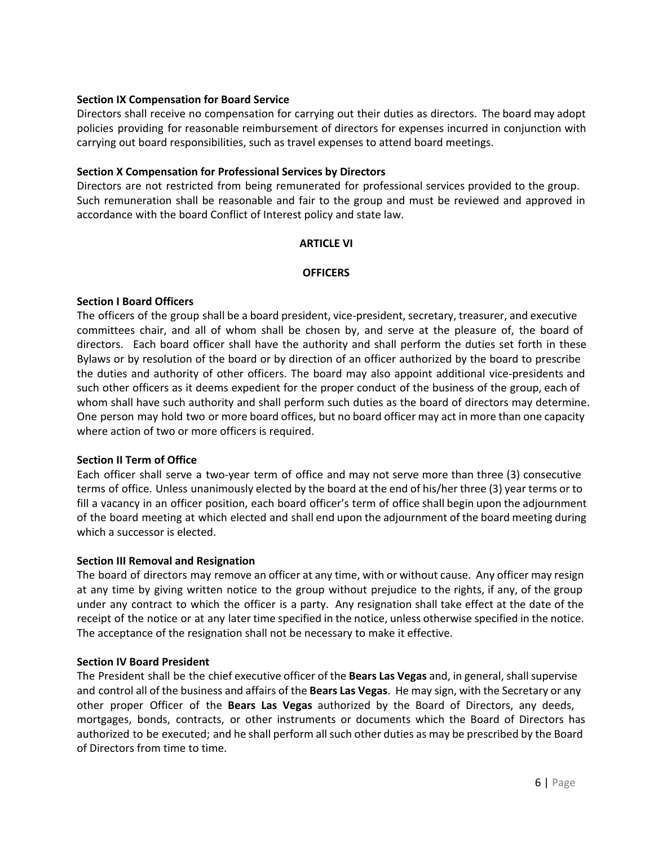## **Section IX Compensation for Board Service**

Directors shall receive no compensation for carrying out their duties as directors. The board may adopt policies providing for reasonable reimbursement of directors for expenses incurred in conjunction with carrying out board responsibilities, such as travel expenses to attend board meetings.

### **Section X Compensation for Professional Services by Directors**

Directors are not restricted from being remunerated for professional services provided to the group. Such remuneration shall be reasonable and fair to the group and must be reviewed and approved in accordance with the board Conflict of Interest policy and state law.

#### **ARTICLE VI**

### **OFFICERS**

### **Section I Board Officers**

The officers of the group shall be a board president, vice-president, secretary, treasurer, and executive committees chair, and all of whom shall be chosen by, and serve at the pleasure of, the board of directors. Each board officer shall have the authority and shall perform the duties set forth in these Bylaws or by resolution of the board or by direction of an officer authorized by the board to prescribe the duties and authority of other officers. The board may also appoint additional vice-presidents and such other officers as it deems expedient for the proper conduct of the business of the group, each of whom shall have such authority and shall perform such duties as the board of directors may determine. One person may hold two or more board offices, but no board officer may act in more than one capacity where action of two or more officers is required.

#### **Section II Term of Office**

Each officer shall serve a two-year term of office and may not serve more than three (3) consecutive terms of office. Unless unanimously elected by the board at the end of his/her three (3) year terms or to fill a vacancy in an officer position, each board officer's term of office shall begin upon the adjournment of the board meeting at which elected and shall end upon the adjournment of the board meeting during which a successor is elected.

#### **Section III Removal and Resignation**

The board of directors may remove an officer at any time, with or without cause. Any officer may resign at any time by giving written notice to the group without prejudice to the rights, if any, of the group under any contract to which the officer is a party. Any resignation shall take effect at the date of the receipt of the notice or at any later time specified in the notice, unless otherwise specified in the notice. The acceptance of the resignation shall not be necessary to make it effective.

#### **Section IV Board President**

The President shall be the chief executive officer of the **Bears Las Vegas** and, in general, shall supervise and control all of the business and affairs of the **Bears Las Vegas**. He may sign, with the Secretary or any other proper Officer of the **Bears Las Vegas** authorized by the Board of Directors, any deeds, mortgages, bonds, contracts, or other instruments or documents which the Board of Directors has authorized to be executed; and he shall perform all such other duties as may be prescribed by the Board of Directors from time to time.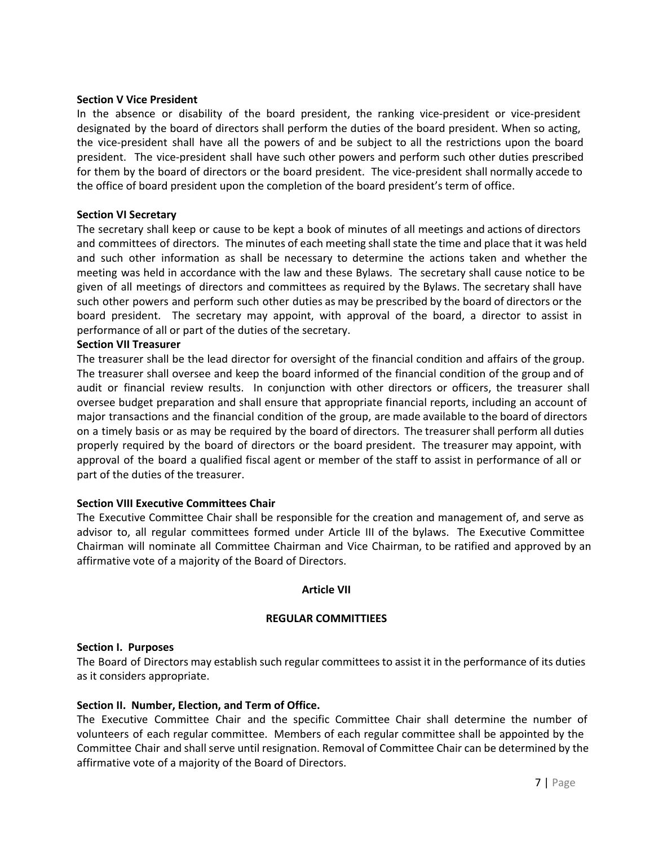### **Section V Vice President**

In the absence or disability of the board president, the ranking vice-president or vice-president designated by the board of directors shall perform the duties of the board president. When so acting, the vice-president shall have all the powers of and be subject to all the restrictions upon the board president. The vice-president shall have such other powers and perform such other duties prescribed for them by the board of directors or the board president. The vice-president shall normally accede to the office of board president upon the completion of the board president's term of office.

### **Section VI Secretary**

The secretary shall keep or cause to be kept a book of minutes of all meetings and actions of directors and committees of directors. The minutes of each meeting shall state the time and place that it was held and such other information as shall be necessary to determine the actions taken and whether the meeting was held in accordance with the law and these Bylaws. The secretary shall cause notice to be given of all meetings of directors and committees as required by the Bylaws. The secretary shall have such other powers and perform such other duties as may be prescribed by the board of directors or the board president. The secretary may appoint, with approval of the board, a director to assist in performance of all or part of the duties of the secretary.

### **Section VII Treasurer**

The treasurer shall be the lead director for oversight of the financial condition and affairs of the group. The treasurer shall oversee and keep the board informed of the financial condition of the group and of audit or financial review results. In conjunction with other directors or officers, the treasurer shall oversee budget preparation and shall ensure that appropriate financial reports, including an account of major transactions and the financial condition of the group, are made available to the board of directors on a timely basis or as may be required by the board of directors. The treasurer shall perform all duties properly required by the board of directors or the board president. The treasurer may appoint, with approval of the board a qualified fiscal agent or member of the staff to assist in performance of all or part of the duties of the treasurer.

## **Section VIII Executive Committees Chair**

The Executive Committee Chair shall be responsible for the creation and management of, and serve as advisor to, all regular committees formed under Article III of the bylaws. The Executive Committee Chairman will nominate all Committee Chairman and Vice Chairman, to be ratified and approved by an affirmative vote of a majority of the Board of Directors.

## **Article VII**

## **REGULAR COMMITTIEES**

#### **Section I. Purposes**

The Board of Directors may establish such regular committees to assist it in the performance of its duties as it considers appropriate.

#### **Section II. Number, Election, and Term of Office.**

The Executive Committee Chair and the specific Committee Chair shall determine the number of volunteers of each regular committee. Members of each regular committee shall be appointed by the Committee Chair and shall serve until resignation. Removal of Committee Chair can be determined by the affirmative vote of a majority of the Board of Directors.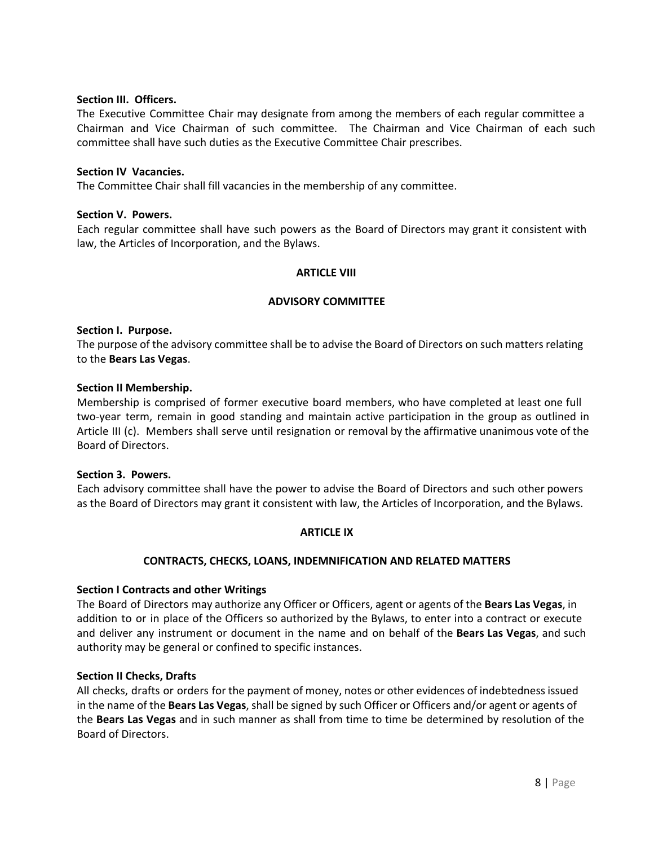## **Section III. Officers.**

The Executive Committee Chair may designate from among the members of each regular committee a Chairman and Vice Chairman of such committee. The Chairman and Vice Chairman of each such committee shall have such duties as the Executive Committee Chair prescribes.

### **Section IV Vacancies.**

The Committee Chair shall fill vacancies in the membership of any committee.

#### **Section V. Powers.**

Each regular committee shall have such powers as the Board of Directors may grant it consistent with law, the Articles of Incorporation, and the Bylaws.

### **ARTICLE VIII**

### **ADVISORY COMMITTEE**

#### **Section I. Purpose.**

The purpose of the advisory committee shall be to advise the Board of Directors on such matters relating to the **Bears Las Vegas**.

### **Section II Membership.**

Membership is comprised of former executive board members, who have completed at least one full two-year term, remain in good standing and maintain active participation in the group as outlined in Article III (c). Members shall serve until resignation or removal by the affirmative unanimous vote of the Board of Directors.

#### **Section 3. Powers.**

Each advisory committee shall have the power to advise the Board of Directors and such other powers as the Board of Directors may grant it consistent with law, the Articles of Incorporation, and the Bylaws.

## **ARTICLE IX**

#### **CONTRACTS, CHECKS, LOANS, INDEMNIFICATION AND RELATED MATTERS**

#### **Section I Contracts and other Writings**

The Board of Directors may authorize any Officer or Officers, agent or agents of the **Bears Las Vegas**, in addition to or in place of the Officers so authorized by the Bylaws, to enter into a contract or execute and deliver any instrument or document in the name and on behalf of the **Bears Las Vegas**, and such authority may be general or confined to specific instances.

#### **Section II Checks, Drafts**

All checks, drafts or orders for the payment of money, notes or other evidences of indebtedness issued in the name of the **Bears Las Vegas**, shall be signed by such Officer or Officers and/or agent or agents of the **Bears Las Vegas** and in such manner as shall from time to time be determined by resolution of the Board of Directors.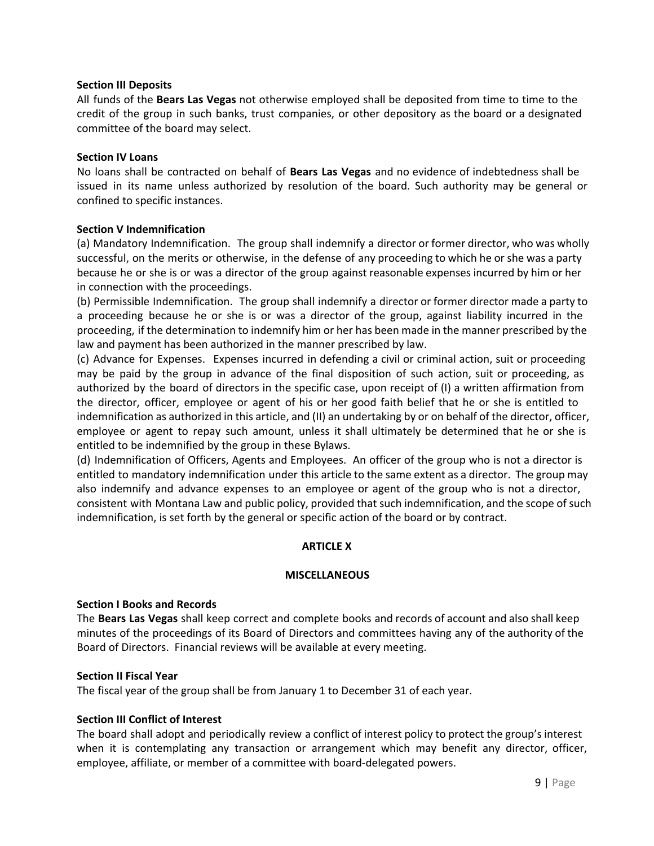### **Section III Deposits**

All funds of the **Bears Las Vegas** not otherwise employed shall be deposited from time to time to the credit of the group in such banks, trust companies, or other depository as the board or a designated committee of the board may select.

### **Section IV Loans**

No loans shall be contracted on behalf of **Bears Las Vegas** and no evidence of indebtedness shall be issued in its name unless authorized by resolution of the board. Such authority may be general or confined to specific instances.

### **Section V Indemnification**

(a) Mandatory Indemnification. The group shall indemnify a director or former director, who was wholly successful, on the merits or otherwise, in the defense of any proceeding to which he or she was a party because he or she is or was a director of the group against reasonable expenses incurred by him or her in connection with the proceedings.

(b) Permissible Indemnification. The group shall indemnify a director or former director made a party to a proceeding because he or she is or was a director of the group, against liability incurred in the proceeding, if the determination to indemnify him or her has been made in the manner prescribed by the law and payment has been authorized in the manner prescribed by law.

(c) Advance for Expenses. Expenses incurred in defending a civil or criminal action, suit or proceeding may be paid by the group in advance of the final disposition of such action, suit or proceeding, as authorized by the board of directors in the specific case, upon receipt of (I) a written affirmation from the director, officer, employee or agent of his or her good faith belief that he or she is entitled to indemnification as authorized in this article, and (II) an undertaking by or on behalf of the director, officer, employee or agent to repay such amount, unless it shall ultimately be determined that he or she is entitled to be indemnified by the group in these Bylaws.

(d) Indemnification of Officers, Agents and Employees. An officer of the group who is not a director is entitled to mandatory indemnification under this article to the same extent as a director. The group may also indemnify and advance expenses to an employee or agent of the group who is not a director, consistent with Montana Law and public policy, provided that such indemnification, and the scope of such indemnification, is set forth by the general or specific action of the board or by contract.

## **ARTICLE X**

#### **MISCELLANEOUS**

#### **Section I Books and Records**

The **Bears Las Vegas** shall keep correct and complete books and records of account and also shall keep minutes of the proceedings of its Board of Directors and committees having any of the authority of the Board of Directors. Financial reviews will be available at every meeting.

#### **Section II Fiscal Year**

The fiscal year of the group shall be from January 1 to December 31 of each year.

## **Section III Conflict of Interest**

The board shall adopt and periodically review a conflict of interest policy to protect the group's interest when it is contemplating any transaction or arrangement which may benefit any director, officer, employee, affiliate, or member of a committee with board-delegated powers.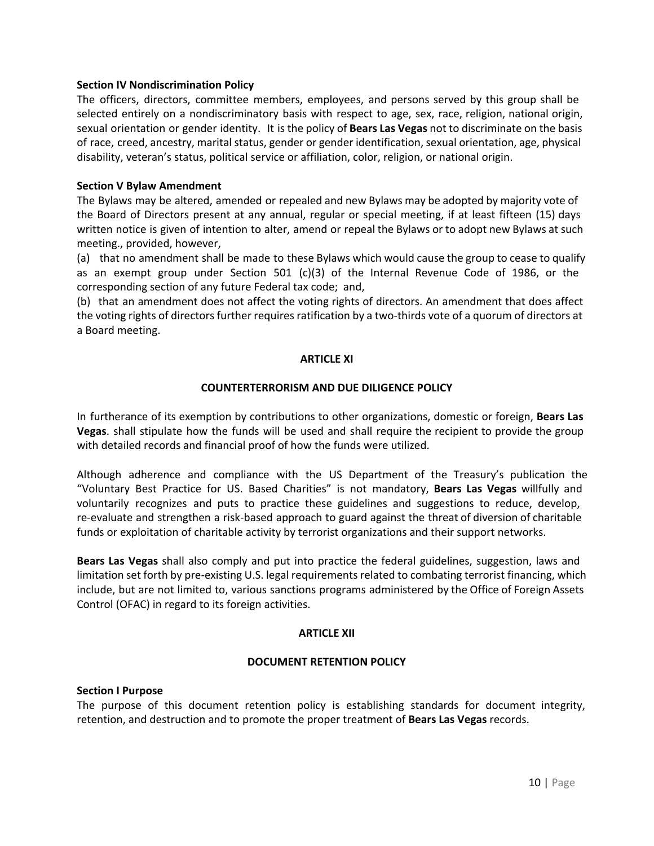### **Section IV Nondiscrimination Policy**

The officers, directors, committee members, employees, and persons served by this group shall be selected entirely on a nondiscriminatory basis with respect to age, sex, race, religion, national origin, sexual orientation or gender identity. It is the policy of **Bears Las Vegas** not to discriminate on the basis of race, creed, ancestry, marital status, gender or gender identification, sexual orientation, age, physical disability, veteran's status, political service or affiliation, color, religion, or national origin.

### **Section V Bylaw Amendment**

The Bylaws may be altered, amended or repealed and new Bylaws may be adopted by majority vote of the Board of Directors present at any annual, regular or special meeting, if at least fifteen (15) days written notice is given of intention to alter, amend or repeal the Bylaws or to adopt new Bylaws at such meeting., provided, however,

(a) that no amendment shall be made to these Bylaws which would cause the group to cease to qualify as an exempt group under Section 501 (c)(3) of the Internal Revenue Code of 1986, or the corresponding section of any future Federal tax code; and,

(b) that an amendment does not affect the voting rights of directors. An amendment that does affect the voting rights of directors further requires ratification by a two-thirds vote of a quorum of directors at a Board meeting.

### **ARTICLE XI**

## **COUNTERTERRORISM AND DUE DILIGENCE POLICY**

In furtherance of its exemption by contributions to other organizations, domestic or foreign, **Bears Las Vegas**. shall stipulate how the funds will be used and shall require the recipient to provide the group with detailed records and financial proof of how the funds were utilized.

Although adherence and compliance with the US Department of the Treasury's publication the "Voluntary Best Practice for US. Based Charities" is not mandatory, **Bears Las Vegas** willfully and voluntarily recognizes and puts to practice these guidelines and suggestions to reduce, develop, re-evaluate and strengthen a risk-based approach to guard against the threat of diversion of charitable funds or exploitation of charitable activity by terrorist organizations and their support networks.

**Bears Las Vegas** shall also comply and put into practice the federal guidelines, suggestion, laws and limitation set forth by pre-existing U.S. legal requirements related to combating terrorist financing, which include, but are not limited to, various sanctions programs administered by the Office of Foreign Assets Control (OFAC) in regard to its foreign activities.

#### **ARTICLE XII**

#### **DOCUMENT RETENTION POLICY**

#### **Section I Purpose**

The purpose of this document retention policy is establishing standards for document integrity, retention, and destruction and to promote the proper treatment of **Bears Las Vegas** records.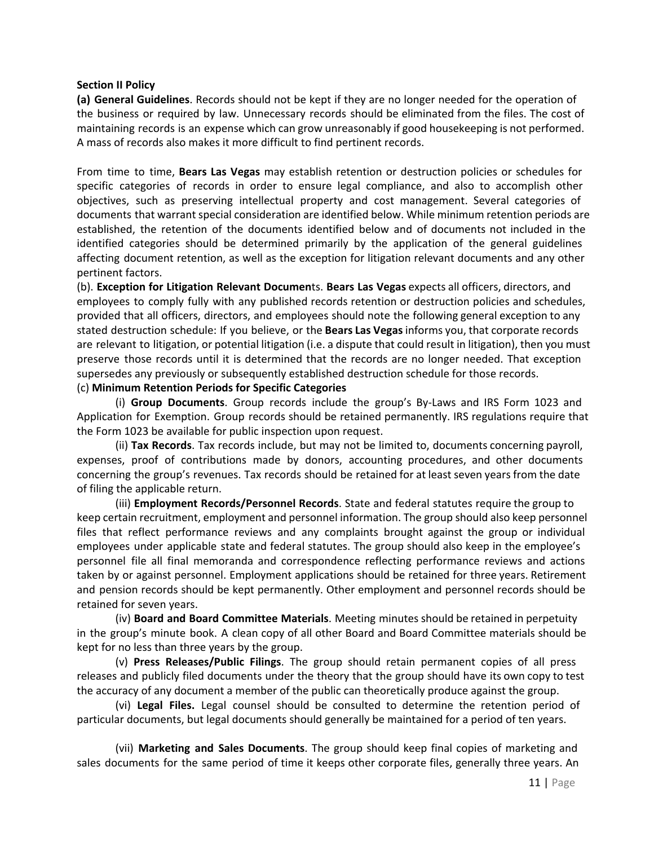### **Section II Policy**

**(a) General Guidelines**. Records should not be kept if they are no longer needed for the operation of the business or required by law. Unnecessary records should be eliminated from the files. The cost of maintaining records is an expense which can grow unreasonably if good housekeeping is not performed. A mass of records also makes it more difficult to find pertinent records.

From time to time, **Bears Las Vegas** may establish retention or destruction policies or schedules for specific categories of records in order to ensure legal compliance, and also to accomplish other objectives, such as preserving intellectual property and cost management. Several categories of documents that warrant special consideration are identified below. While minimum retention periods are established, the retention of the documents identified below and of documents not included in the identified categories should be determined primarily by the application of the general guidelines affecting document retention, as well as the exception for litigation relevant documents and any other pertinent factors.

(b). **Exception for Litigation Relevant Documen**ts. **Bears Las Vegas** expects all officers, directors, and employees to comply fully with any published records retention or destruction policies and schedules, provided that all officers, directors, and employees should note the following general exception to any stated destruction schedule: If you believe, or the **Bears Las Vegas** informs you, that corporate records are relevant to litigation, or potential litigation (i.e. a dispute that could result in litigation), then you must preserve those records until it is determined that the records are no longer needed. That exception supersedes any previously or subsequently established destruction schedule for those records.

## (c) **Minimum Retention Periods for Specific Categories**

(i) **Group Documents**. Group records include the group's By-Laws and IRS Form 1023 and Application for Exemption. Group records should be retained permanently. IRS regulations require that the Form 1023 be available for public inspection upon request.

(ii) **Tax Records**. Tax records include, but may not be limited to, documents concerning payroll, expenses, proof of contributions made by donors, accounting procedures, and other documents concerning the group's revenues. Tax records should be retained for at least seven years from the date of filing the applicable return.

(iii) **Employment Records/Personnel Records**. State and federal statutes require the group to keep certain recruitment, employment and personnel information. The group should also keep personnel files that reflect performance reviews and any complaints brought against the group or individual employees under applicable state and federal statutes. The group should also keep in the employee's personnel file all final memoranda and correspondence reflecting performance reviews and actions taken by or against personnel. Employment applications should be retained for three years. Retirement and pension records should be kept permanently. Other employment and personnel records should be retained for seven years.

(iv) **Board and Board Committee Materials**. Meeting minutes should be retained in perpetuity in the group's minute book. A clean copy of all other Board and Board Committee materials should be kept for no less than three years by the group.

(v) **Press Releases/Public Filings**. The group should retain permanent copies of all press releases and publicly filed documents under the theory that the group should have its own copy to test the accuracy of any document a member of the public can theoretically produce against the group.

(vi) **Legal Files.** Legal counsel should be consulted to determine the retention period of particular documents, but legal documents should generally be maintained for a period of ten years.

(vii) **Marketing and Sales Documents**. The group should keep final copies of marketing and sales documents for the same period of time it keeps other corporate files, generally three years. An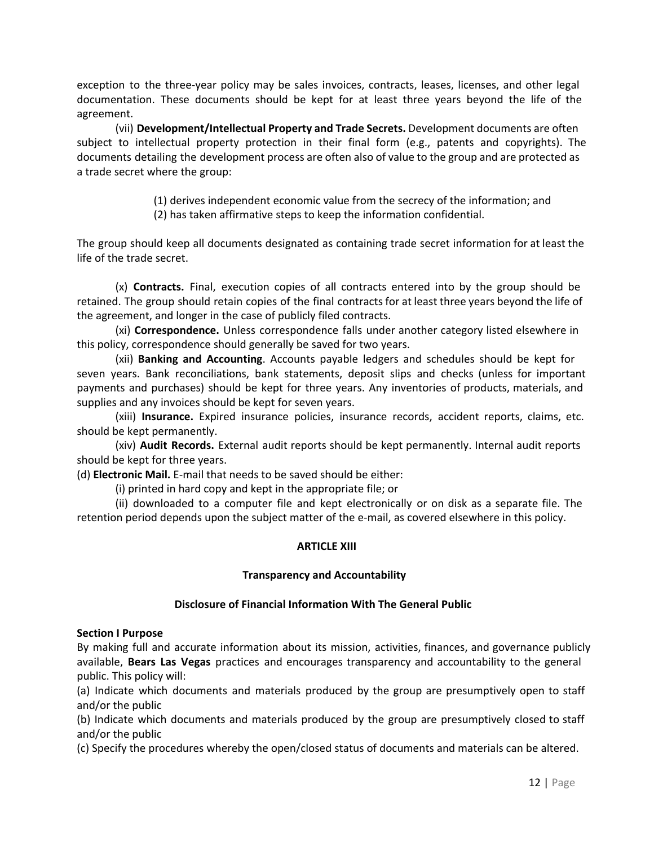exception to the three-year policy may be sales invoices, contracts, leases, licenses, and other legal documentation. These documents should be kept for at least three years beyond the life of the agreement.

(vii) **Development/Intellectual Property and Trade Secrets.** Development documents are often subject to intellectual property protection in their final form (e.g., patents and copyrights). The documents detailing the development process are often also of value to the group and are protected as a trade secret where the group:

(1) derives independent economic value from the secrecy of the information; and

(2) has taken affirmative steps to keep the information confidential.

The group should keep all documents designated as containing trade secret information for at least the life of the trade secret.

(x) **Contracts.** Final, execution copies of all contracts entered into by the group should be retained. The group should retain copies of the final contracts for at least three years beyond the life of the agreement, and longer in the case of publicly filed contracts.

(xi) **Correspondence.** Unless correspondence falls under another category listed elsewhere in this policy, correspondence should generally be saved for two years.

(xii) **Banking and Accounting**. Accounts payable ledgers and schedules should be kept for seven years. Bank reconciliations, bank statements, deposit slips and checks (unless for important payments and purchases) should be kept for three years. Any inventories of products, materials, and supplies and any invoices should be kept for seven years.

(xiii) **Insurance.** Expired insurance policies, insurance records, accident reports, claims, etc. should be kept permanently.

(xiv) **Audit Records.** External audit reports should be kept permanently. Internal audit reports should be kept for three years.

(d) **Electronic Mail.** E-mail that needs to be saved should be either:

(i) printed in hard copy and kept in the appropriate file; or

(ii) downloaded to a computer file and kept electronically or on disk as a separate file. The retention period depends upon the subject matter of the e-mail, as covered elsewhere in this policy.

## **ARTICLE XIII**

## **Transparency and Accountability**

## **Disclosure of Financial Information With The General Public**

## **Section I Purpose**

By making full and accurate information about its mission, activities, finances, and governance publicly available, **Bears Las Vegas** practices and encourages transparency and accountability to the general public. This policy will:

(a) Indicate which documents and materials produced by the group are presumptively open to staff and/or the public

(b) Indicate which documents and materials produced by the group are presumptively closed to staff and/or the public

(c) Specify the procedures whereby the open/closed status of documents and materials can be altered.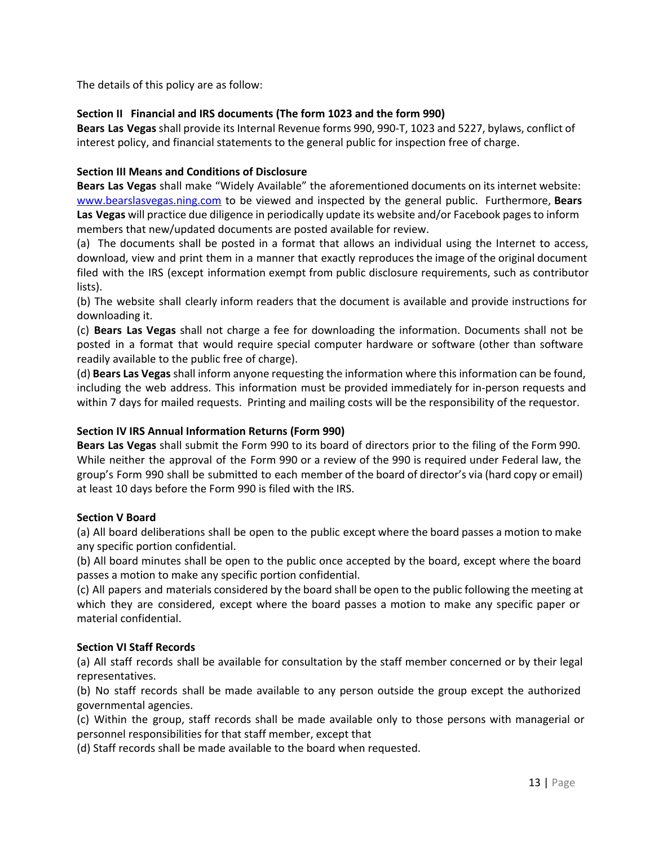The details of this policy are as follow:

# **Section II Financial and IRS documents (The form 1023 and the form 990)**

**Bears Las Vegas** shall provide its Internal Revenue forms 990, 990-T, 1023 and 5227, bylaws, conflict of interest policy, and financial statements to the general public for inspection free of charge.

## **Section III Means and Conditions of Disclosure**

**Bears Las Vegas** shall make "Widely Available" the aforementioned documents on its internet website: [www.bearslasvegas.ning.com](http://www.google.com/url?q=http%3A%2F%2Fwww.bearslasvegas.ning.com&sa=D&sntz=1&usg=AFQjCNHTjGgHxj5AslUeKDhn0w4hS-nWxg) to be viewed and inspected by the general public. Furthermore, **Bears Las Vegas** will practice due diligence in periodically update its website and/or Facebook pages to inform members that new/updated documents are posted available for review.

(a) The documents shall be posted in a format that allows an individual using the Internet to access, download, view and print them in a manner that exactly reproduces the image of the original document filed with the IRS (except information exempt from public disclosure requirements, such as contributor lists).

(b) The website shall clearly inform readers that the document is available and provide instructions for downloading it.

(c) **Bears Las Vegas** shall not charge a fee for downloading the information. Documents shall not be posted in a format that would require special computer hardware or software (other than software readily available to the public free of charge).

(d) **Bears Las Vegas** shall inform anyone requesting the information where this information can be found, including the web address. This information must be provided immediately for in-person requests and within 7 days for mailed requests. Printing and mailing costs will be the responsibility of the requestor.

# **Section IV IRS Annual Information Returns (Form 990)**

**Bears Las Vegas** shall submit the Form 990 to its board of directors prior to the filing of the Form 990. While neither the approval of the Form 990 or a review of the 990 is required under Federal law, the group's Form 990 shall be submitted to each member of the board of director's via (hard copy or email) at least 10 days before the Form 990 is filed with the IRS.

## **Section V Board**

(a) All board deliberations shall be open to the public except where the board passes a motion to make any specific portion confidential.

(b) All board minutes shall be open to the public once accepted by the board, except where the board passes a motion to make any specific portion confidential.

(c) All papers and materials considered by the board shall be open to the public following the meeting at which they are considered, except where the board passes a motion to make any specific paper or material confidential.

## **Section VI Staff Records**

(a) All staff records shall be available for consultation by the staff member concerned or by their legal representatives.

(b) No staff records shall be made available to any person outside the group except the authorized governmental agencies.

(c) Within the group, staff records shall be made available only to those persons with managerial or personnel responsibilities for that staff member, except that

(d) Staff records shall be made available to the board when requested.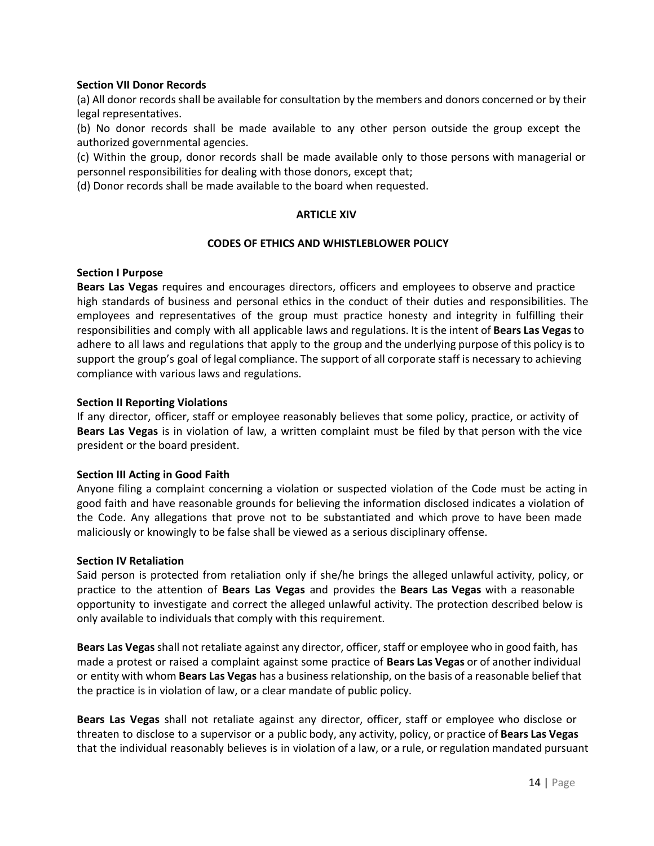### **Section VII Donor Records**

(a) All donor records shall be available for consultation by the members and donors concerned or by their legal representatives.

(b) No donor records shall be made available to any other person outside the group except the authorized governmental agencies.

(c) Within the group, donor records shall be made available only to those persons with managerial or personnel responsibilities for dealing with those donors, except that;

(d) Donor records shall be made available to the board when requested.

### **ARTICLE XIV**

### **CODES OF ETHICS AND WHISTLEBLOWER POLICY**

#### **Section I Purpose**

**Bears Las Vegas** requires and encourages directors, officers and employees to observe and practice high standards of business and personal ethics in the conduct of their duties and responsibilities. The employees and representatives of the group must practice honesty and integrity in fulfilling their responsibilities and comply with all applicable laws and regulations. It is the intent of **Bears Las Vegas** to adhere to all laws and regulations that apply to the group and the underlying purpose of this policy is to support the group's goal of legal compliance. The support of all corporate staff is necessary to achieving compliance with various laws and regulations.

#### **Section II Reporting Violations**

If any director, officer, staff or employee reasonably believes that some policy, practice, or activity of **Bears Las Vegas** is in violation of law, a written complaint must be filed by that person with the vice president or the board president.

#### **Section III Acting in Good Faith**

Anyone filing a complaint concerning a violation or suspected violation of the Code must be acting in good faith and have reasonable grounds for believing the information disclosed indicates a violation of the Code. Any allegations that prove not to be substantiated and which prove to have been made maliciously or knowingly to be false shall be viewed as a serious disciplinary offense.

#### **Section IV Retaliation**

Said person is protected from retaliation only if she/he brings the alleged unlawful activity, policy, or practice to the attention of **Bears Las Vegas** and provides the **Bears Las Vegas** with a reasonable opportunity to investigate and correct the alleged unlawful activity. The protection described below is only available to individuals that comply with this requirement.

**Bears Las Vegas** shall not retaliate against any director, officer, staff or employee who in good faith, has made a protest or raised a complaint against some practice of **Bears Las Vegas** or of another individual or entity with whom **Bears Las Vegas** has a business relationship, on the basis of a reasonable belief that the practice is in violation of law, or a clear mandate of public policy.

**Bears Las Vegas** shall not retaliate against any director, officer, staff or employee who disclose or threaten to disclose to a supervisor or a public body, any activity, policy, or practice of **Bears Las Vegas** that the individual reasonably believes is in violation of a law, or a rule, or regulation mandated pursuant